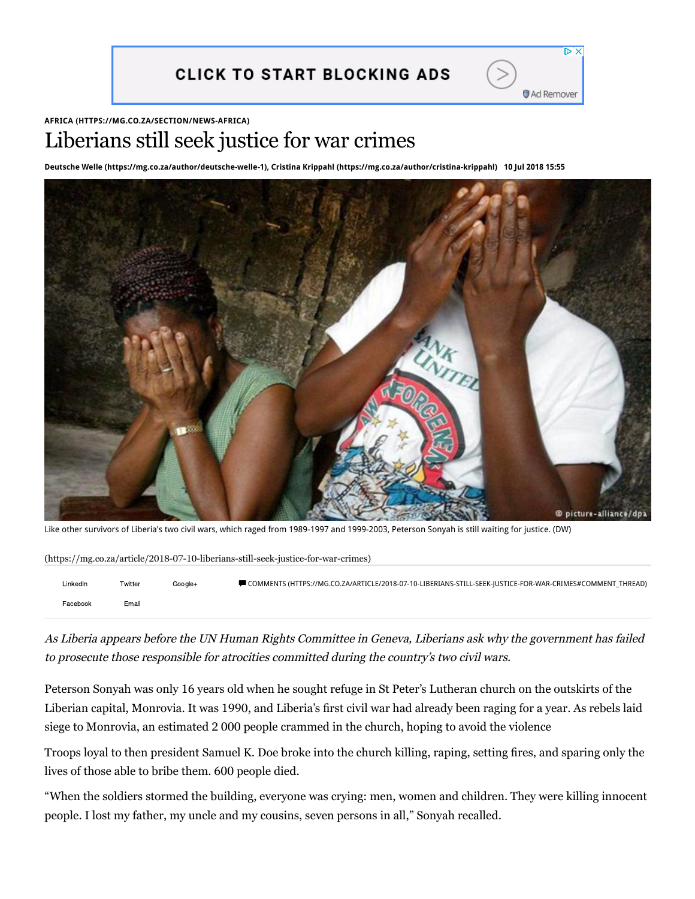

#### **AFRICA [\(HTTPS://MG.CO.ZA/SECTION/NEWS-AFRICA\)](https://mg.co.za/section/news-africa)**

# Liberians still seek justice for war crimes

**[Deutsche Welle \(https://mg.co.za/author/deutsche-welle-1\)](https://mg.co.za/author/deutsche-welle-1), [Cristina Krippahl \(https://mg.co.za/author/cristina-krippahl\)](https://mg.co.za/author/cristina-krippahl) 10 Jul 2018 15:55**



[Like other survivors of Liberia's two civil wars, which raged from 1989-1997 and 1999-2003, Peterson Sonyah is still waiting for justice. \(DW\)](https://mg.co.za/article/2018-07-10-liberians-still-seek-justice-for-war-crimes)

| (https://mg.co.za/article/2018-07-10-liberians-still-seek-justice-for-war-crimes) |         |         |                                                                                                             |  |
|-----------------------------------------------------------------------------------|---------|---------|-------------------------------------------------------------------------------------------------------------|--|
| LinkedIn                                                                          | Twitter | Google+ | ■ COMMENTS (HTTPS://MG.CO.ZA/ARTICLE/2018-07-10-LIBERIANS-STILL-SEEK- USTICE-FOR-WAR-CRIMES#COMMENT THREAD) |  |
| Facebook                                                                          | Email   |         |                                                                                                             |  |

As Liberia appears before the UN Human Rights Committee in Geneva, Liberians ask why the government has failed to prosecute those responsible for atrocities committed during the country's two civil wars.

Peterson Sonyah was only 16 years old when he sought refuge in St Peter's Lutheran church on the outskirts of the Liberian capital, Monrovia. It was 1990, and Liberia's first civil war had already been raging for a year. As rebels laid siege to Monrovia, an estimated 2 000 people crammed in the church, hoping to avoid the violence

Troops loyal to then president Samuel K. Doe broke into the church killing, raping, setting fires, and sparing only the lives of those able to bribe them. 600 people died.

"When the soldiers stormed the building, everyone was crying: men, women and children. They were killing innocent people. I lost my father, my uncle and my cousins, seven persons in all," Sonyah recalled.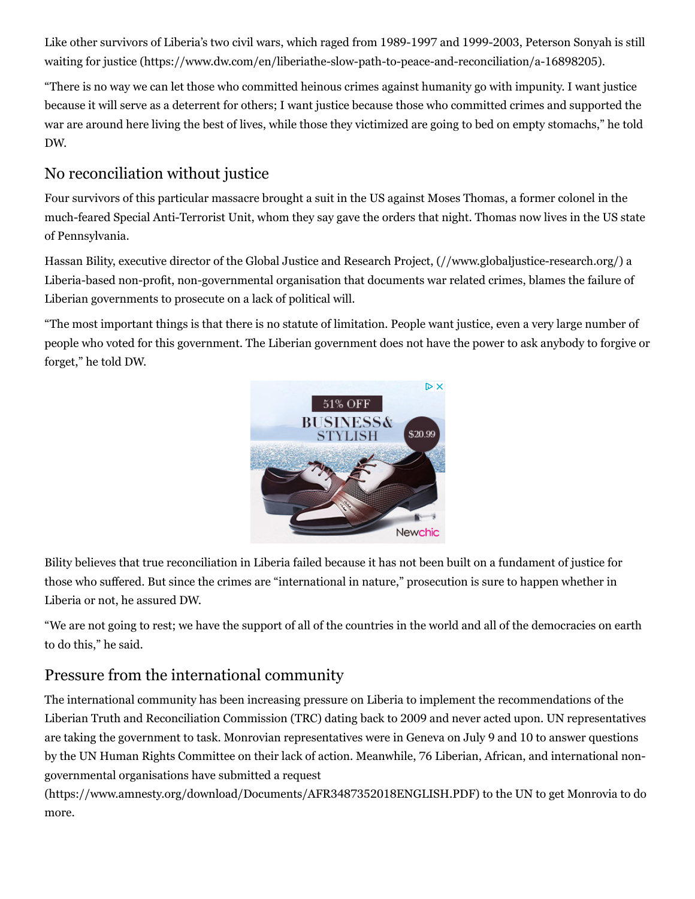[Like other survivors of Liberia's two civil wars, which raged from 1989-1997 and 1999-2003, Peterson Sonyah is still](https://www.dw.com/en/liberiathe-slow-path-to-peace-and-reconciliation/a-16898205) waiting for justice (https://www.dw.com/en/liberiathe-slow-path-to-peace-and-reconciliation/a-16898205).

"There is no way we can let those who committed heinous crimes against humanity go with impunity. I want justice because it will serve as a deterrent for others; I want justice because those who committed crimes and supported the war are around here living the best of lives, while those they victimized are going to bed on empty stomachs," he told DW.

## No reconciliation without justice

Four survivors of this particular massacre brought a suit in the US against Moses Thomas, a former colonel in the much-feared Special Anti-Terrorist Unit, whom they say gave the orders that night. Thomas now lives in the US state of Pennsylvania.

Hassan Bility, executive director of the [Global Justice and Research Project, \(//www.globaljustice-research.org/\)](https://www.globaljustice-research.org/) a Liberia-based non-profit, non-governmental organisation that documents war related crimes, blames the failure of Liberian governments to prosecute on a lack of political will.

"The most important things is that there is no statute of limitation. People want justice, even a very large number of people who voted for this government. The Liberian government does not have the power to ask anybody to forgive or forget," he told DW.



Bility believes that true reconciliation in Liberia failed because it has not been built on a fundament of justice for those who suffered. But since the crimes are "international in nature," prosecution is sure to happen whether in Liberia or not, he assured DW.

"We are not going to rest; we have the support of all of the countries in the world and all of the democracies on earth to do this," he said.

### Pressure from the international community

The international community has been increasing pressure on Liberia to implement the recommendations of the Liberian Truth and Reconciliation Commission (TRC) dating back to 2009 and never acted upon. UN representatives are taking the government to task. Monrovian representatives were in Geneva on July 9 and 10 to answer questions by the UN Human Rights Committee on their lack of action. Meanwhile, 76 Liberian, African, and international nongovernmental organisations have submitted a request

[\(https://www.amnesty.org/download/Documents/AFR3487352018ENGLISH.PDF\)](https://www.amnesty.org/download/Documents/AFR3487352018ENGLISH.PDF) to the UN to get Monrovia to do more.